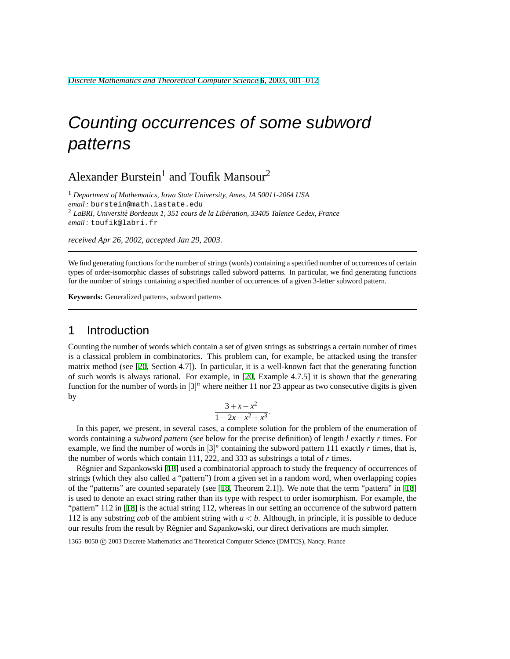# Counting occurrences of some subword patterns

# Alexander Burstein<sup>1</sup> and Toufik Mansour<sup>2</sup>

<sup>1</sup> *Department of Mathematics, Iowa State University, Ames, IA 50011-2064 USA email :* burstein@math.iastate.edu <sup>2</sup> LaBRI, Université Bordeaux 1, 351 cours de la Libération, 33405 Talence Cedex, France *email :* toufik@labri.fr

*received Apr 26, 2002*, *accepted Jan 29, 2003*.

We find generating functions for the number of strings (words) containing a specified number of occurrences of certain types of order-isomorphic classes of substrings called subword patterns. In particular, we find generating functions for the number of strings containing a specified number of occurrences of a given 3-letter subword pattern.

**Keywords:** Generalized patterns, subword patterns

### 1 Introduction

Counting the number of words which contain a set of given strings as substrings a certain number of times is a classical problem in combinatorics. This problem can, for example, be attacked using the transfer matrix method (see [\[20](#page-10-0), Section 4.7]). In particular, it is a well-known fact that the generating function of such words is always rational. For example, in [\[20](#page-10-0), Example 4.7.5] it is shown that the generating function for the number of words in  $[3]^n$  where neither 11 nor 23 appear as two consecutive digits is given by

$$
\frac{3+x-x^2}{1-2x-x^2+x^3}
$$

.

In this paper, we present, in several cases, a complete solution for the problem of the enumeration of words containing a *subword pattern* (see below for the precise definition) of length *l* exactly *r* times. For example, we find the number of words in  $[3]^n$  containing the subword pattern 111 exactly *r* times, that is, the number of words which contain 111, 222, and 333 as substrings a total of *r* times.

Regnier and Szpankowski [\[18](#page-10-1)] used a combinatorial approach to study the frequency of occurrences of ´ strings (which they also called a "pattern") from a given set in a random word, when overlapping copies of the "patterns" are counted separately (see [\[18](#page-10-1), Theorem 2.1]). We note that the term "pattern" in [\[18](#page-10-1)] is used to denote an exact string rather than its type with respect to order isomorphism. For example, the "pattern" 112 in [[18\]](#page-10-1) is the actual string 112, whereas in our setting an occurrence of the subword pattern 112 is any substring *aab* of the ambient string with *a* < *b*. Although, in principle, it is possible to deduce our results from the result by Regnier and Szpankowski, our direct derivations are much simpler. ´

1365–8050 C 2003 Discrete Mathematics and Theoretical Computer Science (DMTCS), Nancy, France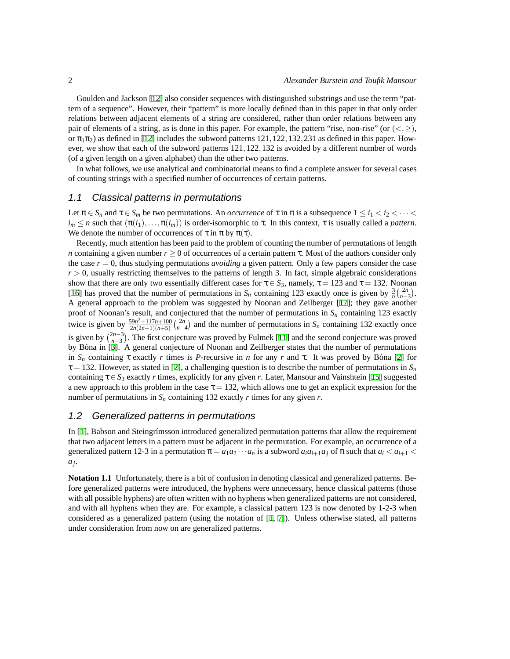Goulden and Jackson [\[12](#page-10-2)] also consider sequences with distinguished substrings and use the term "pattern of a sequence". However, their "pattern" is more locally defined than in this paper in that only order relations between adjacent elements of a string are considered, rather than order relations between any pair of elements of a string, as is done in this paper. For example, the pattern "rise, non-rise" (or  $(<, \geq)$ ), or  $\pi_1\pi_2$ ) as defined in [[12\]](#page-10-2) includes the subword patterns 121, 122, 132, 231 as defined in this paper. However, we show that each of the subword patterns 121,122,132 is avoided by a different number of words (of a given length on a given alphabet) than the other two patterns.

In what follows, we use analytical and combinatorial means to find a complete answer for several cases of counting strings with a specified number of occurrences of certain patterns.

#### 1.1 Classical patterns in permutations

Let  $\pi \in S_n$  and  $\tau \in S_m$  be two permutations. An *occurrence* of  $\tau$  in  $\pi$  is a subsequence  $1 \leq i_1 < i_2 < \cdots <$  $i_m \le n$  such that  $(\pi(i_1), \ldots, \pi(i_m))$  is order-isomorphic to  $\tau$ . In this context,  $\tau$  is usually called a *pattern*. We denote the number of occurrences of  $\tau$  in  $\pi$  by  $\pi(\tau)$ .

Recently, much attention has been paid to the problem of counting the number of permutations of length *n* containing a given number  $r \ge 0$  of occurrences of a certain pattern  $\tau$ . Most of the authors consider only the case  $r = 0$ , thus studying permutations *avoiding* a given pattern. Only a few papers consider the case  $r > 0$ , usually restricting themselves to the patterns of length 3. In fact, simple algebraic considerations show that there are only two essentially different cases for  $\tau \in S_3$ , namely,  $\tau = 123$  and  $\tau = 132$ . Noonan [\[16](#page-10-3)] has proved that the number of permutations in  $S_n$  containing 123 exactly once is given by  $\frac{3}{n} {2n \choose n-3}$ . A general approach to the problem was suggested by Noonan and Zeilberger [\[17](#page-10-4)]; they gave another proof of Noonan's result, and conjectured that the number of permutations in  $S_n$  containing 123 exactly twice is given by  $\frac{59n^2+117n+100}{2n(2n-1)(n+5)}$  ( $\frac{2n}{n-4}$ ) and the number of permutations in *S<sub>n</sub>* containing 132 exactly once is given by  $\binom{2n-3}{n-3}$ . The first conjecture was proved by Fulmek [\[11](#page-10-5)] and the second conjecture was proved by Bóna in [\[3](#page-10-6)]. A general conjecture of Noonan and Zeilberger states that the number of permutations in  $S_n$  containing  $\tau$  exactly r times is P-recursive in *n* for any r and  $\tau$ . It was proved by Bona [[2\]](#page-10-7) for  $\tau$  = 132. However, as stated in [[2\]](#page-10-7), a challenging question is to describe the number of permutations in  $S_n$ containing  $\tau \in S_3$  exactly *r* times, explicitly for any given *r*. Later, Mansour and Vainshtein [[15\]](#page-10-8) suggested a new approach to this problem in the case  $\tau = 132$ , which allows one to get an explicit expression for the number of permutations in *S<sup>n</sup>* containing 132 exactly *r* times for any given *r*.

#### 1.2 Generalized patterns in permutations

In  $[1]$  $[1]$ , Babson and Steingrímsson introduced generalized permutation patterns that allow the requirement that two adjacent letters in a pattern must be adjacent in the permutation. For example, an occurrence of a generalized pattern 12-3 in a permutation  $\pi = a_1 a_2 \cdots a_n$  is a subword  $a_i a_{i+1} a_j$  of  $\pi$  such that  $a_i < a_{i+1}$ *aj* .

**Notation 1.1** Unfortunately, there is a bit of confusion in denoting classical and generalized patterns. Before generalized patterns were introduced, the hyphens were unnecessary, hence classical patterns (those with all possible hyphens) are often written with no hyphens when generalized patterns are not considered, and with all hyphens when they are. For example, a classical pattern 123 is now denoted by 1-2-3 when considered as a generalized pattern (using the notation of [\[1,](#page-10-9) [7\]](#page-10-10)). Unless otherwise stated, all patterns under consideration from now on are generalized patterns.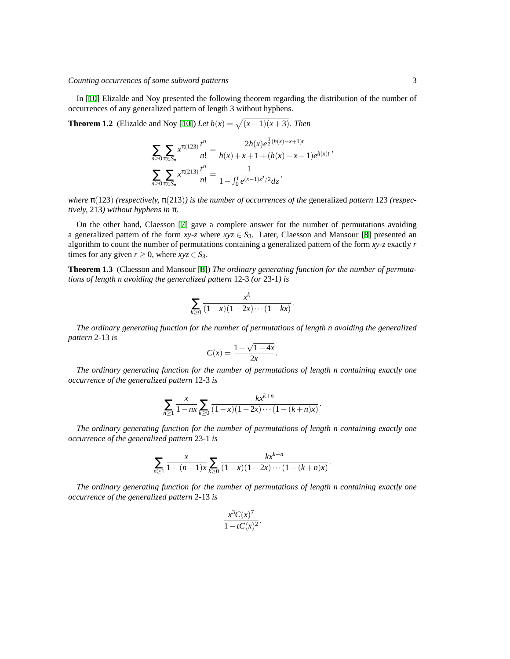In [\[10](#page-10-11)] Elizalde and Noy presented the following theorem regarding the distribution of the number of occurrences of any generalized pattern of length 3 without hyphens.

**Theorem 1.2** (Elizalde and Noy [[10\]](#page-10-11)) *Let*  $h(x) = \sqrt{(x-1)(x+3)}$ . *Then* 

$$
\sum_{n\geq 0} \sum_{\pi \in S_n} x^{\pi(123)} \frac{t^n}{n!} = \frac{2h(x)e^{\frac{1}{2}(h(x)-x+1)t}}{h(x)+x+1+(h(x)-x-1)e^{h(x)t}},
$$
  

$$
\sum_{n\geq 0} \sum_{\pi \in S_n} x^{\pi(213)} \frac{t^n}{n!} = \frac{1}{1-\int_0^t e^{(x-1)z^2/2}dz},
$$

*where* π(123) *(respectively,* π(213)*) is the number of occurrences of the* generalized *pattern* 123 *(respectively,* 213*) without hyphens in* π*.*

On the other hand, Claesson [\[7](#page-10-10)] gave a complete answer for the number of permutations avoiding a generalized pattern of the form  $xy-z$  where  $xyz \in S_3$ . Later, Claesson and Mansour [\[8](#page-10-12)] presented an algorithm to count the number of permutations containing a generalized pattern of the form *xy*-*z* exactly *r* times for any given  $r \geq 0$ , where  $xyz \in S_3$ .

**Theorem 1.3** (Claesson and Mansour [[8\]](#page-10-12)) *The ordinary generating function for the number of permutations of length n avoiding the generalized pattern* 12*-*3 *(or* 23*-*1*) is*

$$
\sum_{k\geq 0} \frac{x^k}{(1-x)(1-2x)\cdots(1-kx)}.
$$

*The ordinary generating function for the number of permutations of length n avoiding the generalized pattern* 2*-*13 *is*

$$
C(x) = \frac{1 - \sqrt{1 - 4x}}{2x}.
$$

*The ordinary generating function for the number of permutations of length n containing exactly one occurrence of the generalized pattern* 12*-*3 *is*

$$
\sum_{n\geq 1} \frac{x}{1 - nx} \sum_{k\geq 0} \frac{kx^{k+n}}{(1-x)(1-2x)\cdots(1-(k+n)x)}.
$$

*The ordinary generating function for the number of permutations of length n containing exactly one occurrence of the generalized pattern* 23*-*1 *is*

$$
\sum_{n\geq 1} \frac{x}{1-(n-1)x} \sum_{k\geq 0} \frac{kx^{k+n}}{(1-x)(1-2x)\cdots(1-(k+n)x)}.
$$

*The ordinary generating function for the number of permutations of length n containing exactly one occurrence of the generalized pattern* 2*-*13 *is*

$$
\frac{x^3C(x)^7}{1-tC(x)^2}.
$$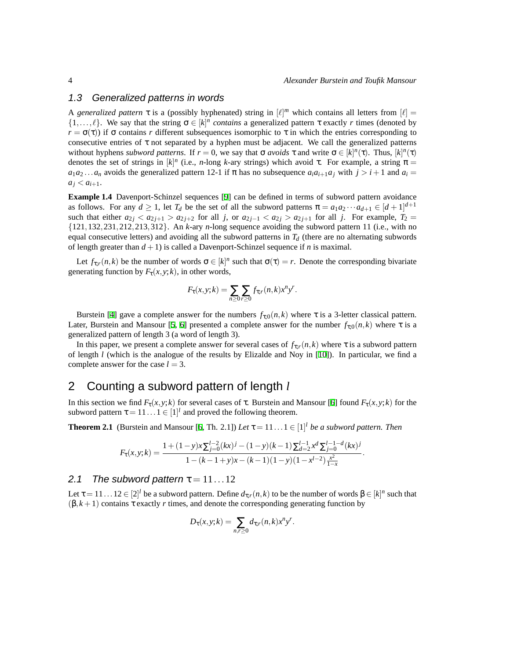#### 1.3 Generalized patterns in words

A *generalized pattern*  $\tau$  is a (possibly hyphenated) string in  $[\ell]^m$  which contains all letters from  $[\ell] =$  $\{1,\ldots,\ell\}$ . We say that the string  $\sigma \in [k]^n$  *contains* a generalized pattern  $\tau$  exactly *r* times (denoted by  $r = \sigma(\tau)$ ) if  $\sigma$  contains *r* different subsequences isomorphic to  $\tau$  in which the entries corresponding to consecutive entries of  $\tau$  not separated by a hyphen must be adjacent. We call the generalized patterns without hyphens *subword patterns*. If  $r = 0$ , we say that  $\sigma$  *avoids*  $\tau$  and write  $\sigma \in [k]^n(\tau)$ . Thus,  $[k]^n(\tau)$ denotes the set of strings in  $[k]^n$  (i.e., *n*-long *k*-ary strings) which avoid τ. For example, a string  $\pi$  =  $a_1 a_2 \ldots a_n$  avoids the generalized pattern 12-1 if  $\pi$  has no subsequence  $a_i a_{i+1} a_j$  with  $j > i+1$  and  $a_i =$  $a_j < a_{i+1}$ .

**Example 1.4** Davenport-Schinzel sequences [\[9](#page-10-13)] can be defined in terms of subword pattern avoidance as follows. For any  $d \ge 1$ , let  $T_d$  be the set of all the subword patterns  $\pi = a_1 a_2 \cdots a_{d+1} \in [d+1]^{d+1}$ such that either  $a_{2j} < a_{2j+1} > a_{2j+2}$  for all *j*, or  $a_{2j-1} < a_{2j} > a_{2j+1}$  for all *j*. For example,  $T_2 =$ {121,132,231,212,213,312}. An *k*-ary *n*-long sequence avoiding the subword pattern 11 (i.e., with no equal consecutive letters) and avoiding all the subword patterns in  $T<sub>d</sub>$  (there are no alternating subwords of length greater than  $d + 1$ ) is called a Davenport-Schinzel sequence if *n* is maximal.

Let  $f_{\tau,r}(n,k)$  be the number of words  $\sigma \in [k]^n$  such that  $\sigma(\tau) = r$ . Denote the corresponding bivariate generating function by  $F_{\tau}(x, y; k)$ , in other words,

$$
F_{\tau}(x,y;k)=\sum_{n\geq 0}\sum_{r\geq 0}f_{\tau;r}(n,k)x^ny^r.
$$

Burstein [\[4](#page-10-14)] gave a complete answer for the numbers  $f_{\tau,0}(n,k)$  where  $\tau$  is a 3-letter classical pattern. Later, Burstein and Mansour [\[5](#page-10-15), [6](#page-10-16)] presented a complete answer for the number  $f_{\tau,0}(n,k)$  where  $\tau$  is a generalized pattern of length 3 (a word of length 3).

In this paper, we present a complete answer for several cases of  $f_{\tau,r}(n,k)$  where  $\tau$  is a subword pattern of length *l* (which is the analogue of the results by Elizalde and Noy in [\[10](#page-10-11)]). In particular, we find a complete answer for the case  $l = 3$ .

## 2 Counting a subword pattern of length *l*

In this section we find *F*τ(*x*,*y*; *k*) for several cases of τ. Burstein and Mansour [\[6\]](#page-10-16) found *F*τ(*x*,*y*; *k*) for the subword pattern  $\tau = 11...1 \in [1]^l$  and proved the following theorem.

<span id="page-3-0"></span>**Theorem 2.1** (Burstein and Mansour [\[6](#page-10-16), Th. 2.1]) *Let*  $\tau = 11 \dots 1 \in [1]^l$  *be a subword pattern. Then* 

$$
F_{\tau}(x,y;k) = \frac{1 + (1-y)x \sum_{j=0}^{l-2} (kx)^j - (1-y)(k-1) \sum_{d=2}^{l-1} x^d \sum_{j=0}^{l-1-d} (kx)^j}{1 - (k-1+y)x - (k-1)(1-y)(1 - x^{l-2}) \frac{x^2}{1-x}}.
$$

#### 2.1 The subword pattern  $\tau = 11...12$

Let τ = 11 . . . 12  $\in [2]^l$  be a subword pattern. Define  $d_{\tau,r}(n,k)$  to be the number of words  $β ∈ [k]^n$  such that  $(\beta, k+1)$  contains  $\tau$  exactly *r* times, and denote the corresponding generating function by

$$
D_{\tau}(x, y; k) = \sum_{n,r \geq 0} d_{\tau,r}(n, k) x^n y^r.
$$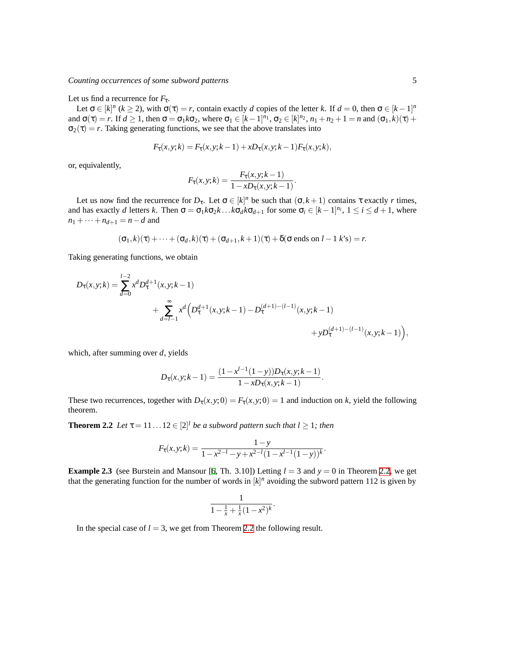#### Let us find a recurrence for  $F_{\tau}$ .

Let  $\sigma \in [k]^n$  ( $k \ge 2$ ), with  $\sigma(\tau) = r$ , contain exactly *d* copies of the letter *k*. If  $d = 0$ , then  $\sigma \in [k-1]^n$ and  $\sigma(\tau) = r$ . If  $d \ge 1$ , then  $\sigma = \sigma_1 k \sigma_2$ , where  $\sigma_1 \in [k-1]^{n_1}$ ,  $\sigma_2 \in [k]^{n_2}$ ,  $n_1 + n_2 + 1 = n$  and  $(\sigma_1, k)(\tau) +$  $\sigma_2(\tau) = r$ . Taking generating functions, we see that the above translates into

$$
F_{\tau}(x, y; k) = F_{\tau}(x, y; k-1) + xD_{\tau}(x, y; k-1)F_{\tau}(x, y; k),
$$

or, equivalently,

$$
F_{\tau}(x, y; k) = \frac{F_{\tau}(x, y; k-1)}{1 - x D_{\tau}(x, y; k-1)}.
$$

Let us now find the recurrence for  $D_{\tau}$ . Let  $\sigma \in [k]^n$  be such that  $(\sigma, k+1)$  contains  $\tau$  exactly  $r$  times, and has exactly *d* letters *k*. Then  $\sigma = \sigma_1 k \sigma_2 k \dots k \sigma_d k \sigma_{d+1}$  for some  $\sigma_i \in [k-1]^{n_i}$ ,  $1 \le i \le d+1$ , where  $n_1 + \cdots + n_{d+1} = n - d$  and

$$
(\sigma_1, k)(\tau) + \cdots + (\sigma_d, k)(\tau) + (\sigma_{d+1}, k+1)(\tau) + \delta(\sigma \text{ ends on } l-1 \text{ } k\text{'s}) = r.
$$

Taking generating functions, we obtain

$$
D_{\tau}(x,y;k) = \sum_{d=0}^{l-2} x^d D_{\tau}^{d+1}(x,y;k-1)
$$
  
+ 
$$
\sum_{d=l-1}^{\infty} x^d \left( D_{\tau}^{d+1}(x,y;k-1) - D_{\tau}^{(d+1)-(l-1)}(x,y;k-1) + yD_{\tau}^{(d+1)-(l-1)}(x,y;k-1) \right),
$$

which, after summing over *d*, yields

$$
D_{\tau}(x, y; k-1) = \frac{(1 - x^{l-1}(1-y))D_{\tau}(x, y; k-1)}{1 - xD_{\tau}(x, y; k-1)}.
$$

These two recurrences, together with  $D_{\tau}(x, y; 0) = F_{\tau}(x, y; 0) = 1$  and induction on *k*, yield the following theorem.

<span id="page-4-0"></span>**Theorem 2.2** *Let*  $\tau = 11...12 \in [2]^l$  *be a subword pattern such that*  $l \geq 1$ *; then* 

$$
F_{\tau}(x, y; k) = \frac{1 - y}{1 - x^{2 - l} - y + x^{2 - l} (1 - x^{l - 1} (1 - y))^{k}}.
$$

<span id="page-4-1"></span>**Example 2.3** (see Burstein and Mansour [[6,](#page-10-16) Th. 3.10]) Letting  $l = 3$  and  $y = 0$  in Theorem [2.2](#page-4-0), we get that the generating function for the number of words in  $[k]^n$  avoiding the subword pattern 112 is given by

$$
\frac{1}{1 - \frac{1}{x} + \frac{1}{x}(1 - x^2)^k}.
$$

In the special case of  $l = 3$ , we get from Theorem [2.2](#page-4-0) the following result.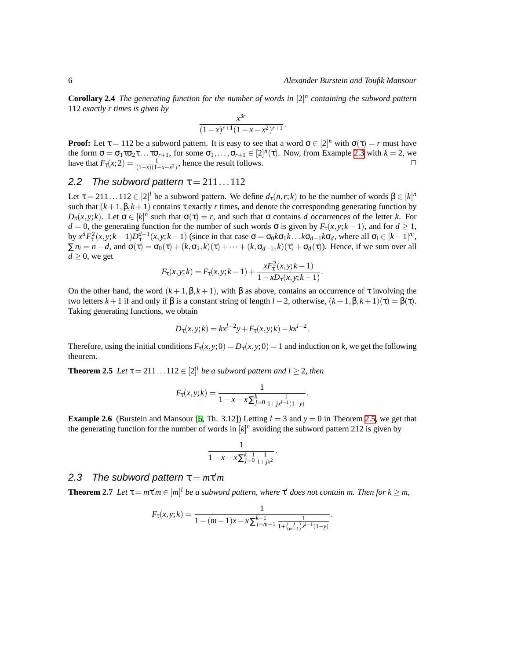**Corollary 2.4** *The generating function for the number of words in* [2] *n containing the subword pattern* 112 *exactly r times is given by*

$$
\frac{x^{3r}}{(1-x)^{r+1}(1-x-x^2)^{r+1}}
$$

.

**Proof:** Let  $\tau = 112$  be a subword pattern. It is easy to see that a word  $\sigma \in [2]^n$  with  $\sigma(\tau) = r$  must have the form  $\sigma = \sigma_1 \tau \sigma_2 \tau \ldots \tau \sigma_{r+1}$ , for some  $\sigma_1, \ldots, \sigma_{r+1} \in [2]^n(\tau)$ . Now, from Example [2.3](#page-4-1) with  $k = 2$ , we have that  $F_{\tau}(x;2) = \frac{1}{(1-x)(1-x-x^2)}$ , hence the result follows.

#### 2.2 The subword pattern  $\tau = 211...112$

Let  $\tau = 211...112 \in [2]^l$  be a subword pattern. We define  $d_{\tau}(n,r;k)$  to be the number of words  $\beta \in [k]^n$ such that  $(k+1,\beta,k+1)$  contains  $\tau$  exactly r times, and denote the corresponding generating function by *D*<sub>τ</sub>(*x*,*y*;*k*). Let σ ∈ [*k*]<sup>*n*</sup> such that σ(τ) = *r*, and such that σ contains *d* occurrences of the letter *k*. For *d* = 0, the generating function for the number of such words σ is given by  $F_τ(x, y; k-1)$ , and for *d* ≥ 1, by  $x^d F_\tau^2(x, y; k-1) D_\tau^{d-1}(x, y; k-1)$  (since in that case  $\sigma = \sigma_0 k \sigma_1 k \dots k \sigma_{d-1} k \sigma_d$ , where all  $\sigma_i \in [k-1]^{n_i}$ ,  $\sum n_i = n - d$ , and  $\sigma(\tau) = \sigma_0(\tau) + (k, \sigma_1, k)(\tau) + \cdots + (k, \sigma_{d-1}, k)(\tau) + \sigma_d(\tau)$ . Hence, if we sum over all  $d \geq 0$ , we get

$$
F_{\tau}(x, y; k) = F_{\tau}(x, y; k-1) + \frac{x F_{\tau}^{2}(x, y; k-1)}{1 - x D_{\tau}(x, y; k-1)}.
$$

On the other hand, the word  $(k+1,\beta,k+1)$ , with  $\beta$  as above, contains an occurrence of  $\tau$  involving the two letters *k* +1 if and only if β is a constant string of length *l* −2, otherwise, (*k* +1,β,*k* +1)(τ) = β(τ). Taking generating functions, we obtain

$$
D_{\tau}(x, y; k) = kx^{l-2}y + F_{\tau}(x, y; k) - kx^{l-2}.
$$

Therefore, using the initial conditions  $F_{\tau}(x, y; 0) = D_{\tau}(x, y; 0) = 1$  and induction on *k*, we get the following theorem.

<span id="page-5-0"></span>**Theorem 2.5** *Let*  $\tau = 211...112 \in [2]^l$  *be a subword pattern and*  $l \geq 2$ *, then* 

$$
F_{\tau}(x, y; k) = \frac{1}{1 - x - x \sum_{j=0}^{k} \frac{1}{1 + jx^{j-1}(1 - y)}}.
$$

**Example 2.6** (Burstein and Mansour [[6,](#page-10-16) Th. 3.12]) Letting  $l = 3$  and  $\gamma = 0$  in Theorem [2.5,](#page-5-0) we get that the generating function for the number of words in  $[k]^n$  avoiding the subword pattern 212 is given by

$$
\frac{1}{1-x-x\sum_{j=0}^{k-1}\frac{1}{1+jx^2}}.
$$

# 2.3 The subword pattern  $\tau = m\tau'm$

<span id="page-5-1"></span>**Theorem 2.7** *Let*  $\tau = m\tau' m \in [m]^l$  *be a subword pattern, where*  $\tau'$  *does not contain m. Then for*  $k \ge m$ ,

$$
F_{\tau}(x, y; k) = \frac{1}{1 - (m-1)x - x \sum_{j=m-1}^{k-1} \frac{1}{1 + {j \choose m-1}x^{j-1}(1-y)}}.
$$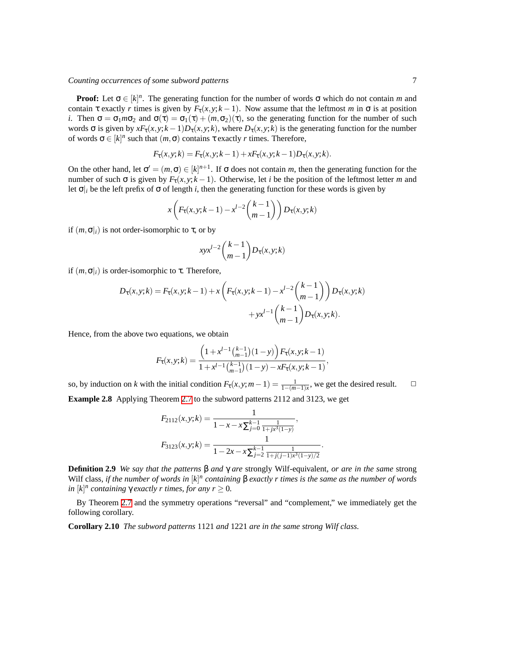#### *Counting occurrences of some subword patterns* 7

**Proof:** Let  $\sigma \in [k]^n$ . The generating function for the number of words  $\sigma$  which do not contain *m* and contain  $\tau$  exactly *r* times is given by  $F_{\tau}(x, y; k-1)$ . Now assume that the leftmost *m* in  $\sigma$  is at position *i*. Then  $\sigma = \sigma_1 m \sigma_2$  and  $\sigma(\tau) = \sigma_1(\tau) + (m, \sigma_2)(\tau)$ , so the generating function for the number of such words σ is given by  $xF_{\tau}(x, y; k-1)D_{\tau}(x, y; k)$ , where  $D_{\tau}(x, y; k)$  is the generating function for the number of words  $\sigma \in [k]^n$  such that  $(m, \sigma)$  contains  $\tau$  exactly *r* times. Therefore,

$$
F_{\tau}(x, y; k) = F_{\tau}(x, y; k-1) + x F_{\tau}(x, y; k-1) D_{\tau}(x, y; k).
$$

On the other hand, let  $\sigma' = (m, \sigma) \in [k]^{n+1}$ . If  $\sigma$  does not contain *m*, then the generating function for the number of such  $\sigma$  is given by  $F_{\tau}(x, y; k-1)$ . Otherwise, let *i* be the position of the leftmost letter *m* and let  $\sigma$ <sup>*i*</sup> be the left prefix of  $\sigma$  of length *i*, then the generating function for these words is given by

$$
x\left(F_\tau(x,y;k-1)-x^{l-2}\binom{k-1}{m-1}\right)D_\tau(x,y;k)
$$

if  $(m, \sigma)_i$  is not order-isomorphic to  $\tau$ , or by

$$
xyx^{l-2}\binom{k-1}{m-1}D_{\tau}(x,y;k)
$$

if  $(m, \sigma)_i$  is order-isomorphic to  $\tau$ . Therefore,

$$
D_{\tau}(x, y; k) = F_{\tau}(x, y; k - 1) + x \left( F_{\tau}(x, y; k - 1) - x^{l - 2} \binom{k - 1}{m - 1} D_{\tau}(x, y; k) + yx^{l - 1} \binom{k - 1}{m - 1} D_{\tau}(x, y; k).
$$

Hence, from the above two equations, we obtain

$$
F_{\tau}(x, y; k) = \frac{\left(1 + x^{l-1} {k-1 \choose m-1} (1-y)\right) F_{\tau}(x, y; k-1)}{1 + x^{l-1} {k-1 \choose m-1} (1-y) - x F_{\tau}(x, y; k-1)},
$$

so, by induction on *k* with the initial condition  $F_\tau(x, y; m-1) = \frac{1}{1-(m-1)x}$ , we get the desired result.  $\Box$ **Example 2.8** Applying Theorem [2.7](#page-5-1) to the subword patterns 2112 and 3123, we get

$$
F_{2112}(x,y;k) = \frac{1}{1 - x - x \sum_{j=0}^{k-1} \frac{1}{1 + jx^3(1-y)}},
$$
  

$$
F_{3123}(x,y;k) = \frac{1}{1 - 2x - x \sum_{j=2}^{k-1} \frac{1}{1 + j(j-1)x^3(1-y)/2}}.
$$

**Definition 2.9** *We say that the patterns* β *and* γ *are* strongly Wilf-equivalent*, or are in the same* strong Wilf class, *if the number of words in* [k]<sup>*n*</sup> containing β *exactly r times is the same as the number of words*  $\int f(x) \, dx$  *in* [k]<sup>*n*</sup> *containing*  $\gamma$  *exactly r times, for any*  $r \geq 0$ *.* 

By Theorem [2.7](#page-5-1) and the symmetry operations "reversal" and "complement," we immediately get the following corollary.

**Corollary 2.10** *The subword patterns* 1121 *and* 1221 *are in the same strong Wilf class.*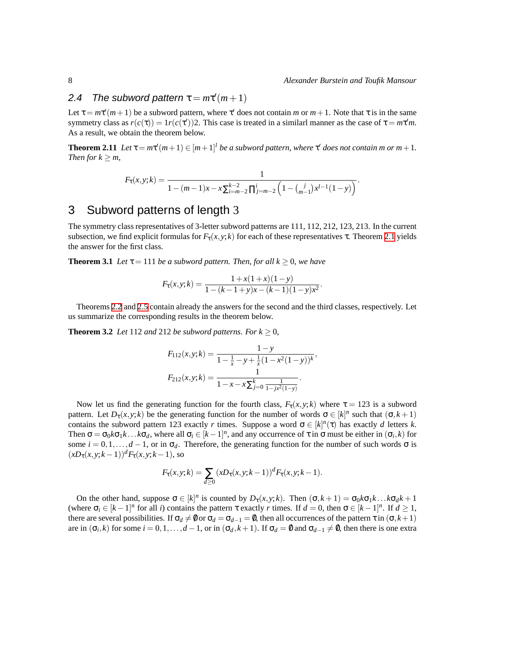# 2.4 The subword pattern  $\tau = m\tau'(m+1)$

Let  $\tau = m\tau'(m+1)$  be a subword pattern, where  $\tau'$  does not contain *m* or  $m+1$ . Note that  $\tau$  is in the same symmetry class as  $r(c(\tau)) = 1$  $r(c(\tau'))$ 2. This case is treated in a similarl manner as the case of  $\tau = m\tau' m$ . As a result, we obtain the theorem below.

<span id="page-7-0"></span>**Theorem 2.11** *Let*  $\tau = m\tau'(m+1) \in [m+1]^l$  *be a subword pattern, where*  $\tau'$  *does not contain m or m* + 1*. Then for*  $k \geq m$ *,* 

$$
F_{\tau}(x,y;k) = \frac{1}{1 - (m-1)x - x\sum_{i=m-2}^{k-2} \prod_{j=m-2}^{i} \left(1 - {j \choose m-1} x^{l-1} (1-y)\right)}.
$$

# 3 Subword patterns of length 3

The symmetry class representatives of 3-letter subword patterns are 111, 112, 212, 123, 213. In the current subsection, we find explicit formulas for  $F_{\tau}(x, y; k)$  for each of these representatives  $\tau$ . Theorem [2.1](#page-3-0) yields the answer for the first class.

**Theorem 3.1** *Let*  $\tau = 111$  *be a subword pattern. Then, for all*  $k \geq 0$ *, we have* 

$$
F_{\tau}(x, y; k) = \frac{1 + x(1+x)(1-y)}{1 - (k-1+y)x - (k-1)(1-y)x^2}.
$$

Theorems [2.2](#page-4-0) and [2.5](#page-5-0) contain already the answers for the second and the third classes, respectively. Let us summarize the corresponding results in the theorem below.

**Theorem 3.2** *Let* 112 *and* 212 *be subword patterns. For*  $k \geq 0$ *,* 

$$
F_{112}(x,y;k) = \frac{1-y}{1 - \frac{1}{x} - y + \frac{1}{x}(1 - x^2(1-y))^k},
$$
  

$$
F_{212}(x,y;k) = \frac{1}{1 - x - x\sum_{j=0}^k \frac{1}{1 - jx^2(1-y)}}.
$$

Now let us find the generating function for the fourth class,  $F_{\tau}(x, y; k)$  where  $\tau = 123$  is a subword pattern. Let  $D_{\tau}(x, y; k)$  be the generating function for the number of words  $\sigma \in [k]^n$  such that  $(\sigma, k+1)$ contains the subword pattern 123 exactly *r* times. Suppose a word  $\sigma \in [k]^n(\tau)$  has exactly *d* letters *k*. Then  $\sigma = \sigma_0 k \sigma_1 k \dots k \sigma_d$ , where all  $\sigma_i \in [k-1]^n$ , and any occurrence of  $\tau$  in  $\sigma$  must be either in  $(\sigma_i, k)$  for some  $i = 0, 1, \ldots, d - 1$ , or in  $\sigma_d$ . Therefore, the generating function for the number of such words  $\sigma$  is  $(xD_\tau(x, y; k-1))^d F_\tau(x, y; k-1)$ , so

$$
F_{\tau}(x, y; k) = \sum_{d \ge 0} (xD_{\tau}(x, y; k-1))^{d} F_{\tau}(x, y; k-1).
$$

On the other hand, suppose  $\sigma \in [k]^n$  is counted by  $D_{\tau}(x, y; k)$ . Then  $(\sigma, k + 1) = \sigma_0 k \sigma_1 k \dots k \sigma_d k + 1$ (where  $\sigma_i \in [k-1]^n$  for all *i*) contains the pattern  $\tau$  exactly *r* times. If  $d = 0$ , then  $\sigma \in [k-1]^n$ . If  $d \ge 1$ , there are several possibilities. If  $\sigma_d \neq 0$  or  $\sigma_d = \sigma_{d-1} = 0$ , then all occurrences of the pattern  $\tau$  in  $(\sigma, k+1)$ are in  $(\sigma_i, k)$  for some  $i = 0, 1, \ldots, d - 1$ , or in  $(\sigma_d, k + 1)$ . If  $\sigma_d = \emptyset$  and  $\sigma_{d-1} \neq \emptyset$ , then there is one extra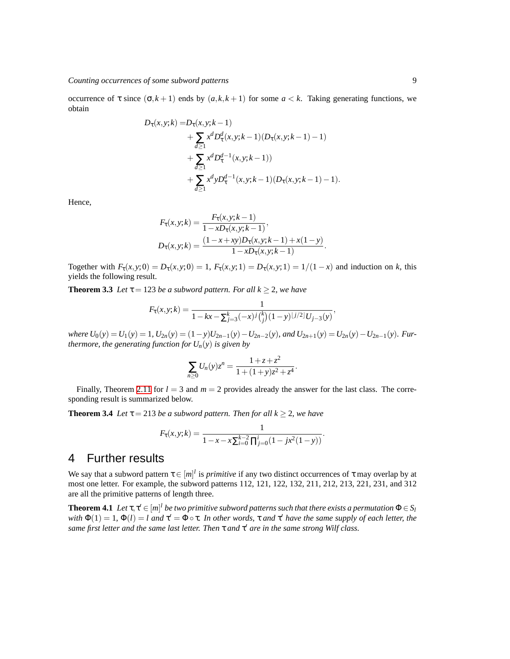occurrence of τ since  $(σ, k + 1)$  ends by  $(a, k, k + 1)$  for some  $a < k$ . Taking generating functions, we obtain

$$
D_{\tau}(x, y; k) = D_{\tau}(x, y; k - 1)
$$
  
+ 
$$
\sum_{d \geq 1} x^{d} D_{\tau}^{d}(x, y; k - 1) (D_{\tau}(x, y; k - 1) - 1)
$$
  
+ 
$$
\sum_{d \geq 1} x^{d} D_{\tau}^{d-1}(x, y; k - 1))
$$
  
+ 
$$
\sum_{d \geq 1} x^{d} y D_{\tau}^{d-1}(x, y; k - 1) (D_{\tau}(x, y; k - 1) - 1).
$$

Hence,

$$
F_{\tau}(x, y; k) = \frac{F_{\tau}(x, y; k-1)}{1 - xD_{\tau}(x, y; k-1)},
$$
  
\n
$$
D_{\tau}(x, y; k) = \frac{(1 - x + xy)D_{\tau}(x, y; k-1) + x(1 - y)}{1 - xD_{\tau}(x, y; k-1)}.
$$

Together with  $F_{\tau}(x, y; 0) = D_{\tau}(x, y; 0) = 1$ ,  $F_{\tau}(x, y; 1) = D_{\tau}(x, y; 1) = 1/(1-x)$  and induction on *k*, this yields the following result.

**Theorem 3.3** *Let*  $\tau = 123$  *be a subword pattern. For all*  $k \ge 2$ *, we have* 

$$
F_{\tau}(x, y; k) = \frac{1}{1 - kx - \sum_{j=3}^{k} (-x)^{j} {k \choose j} (1 - y)^{\lfloor j/2 \rfloor} U_{j-3}(y)},
$$

where  $U_0(y) = U_1(y) = 1$ ,  $U_{2n}(y) = (1-y)U_{2n-1}(y) - U_{2n-2}(y)$ , and  $U_{2n+1}(y) = U_{2n}(y) - U_{2n-1}(y)$ . Fur*thermore, the generating function for*  $U_n(y)$  *is given by* 

$$
\sum_{n\geq 0} U_n(y) z^n = \frac{1+z+z^2}{1+(1+y)z^2+z^4}.
$$

Finally, Theorem [2.11](#page-7-0) for  $l = 3$  and  $m = 2$  provides already the answer for the last class. The corresponding result is summarized below.

**Theorem 3.4** *Let*  $\tau$  = 213 *be a subword pattern. Then for all*  $k \ge 2$ *, we have* 

$$
F_{\tau}(x, y; k) = \frac{1}{1 - x - x \sum_{i=0}^{k-2} \prod_{j=0}^{i} (1 - jx^2(1 - y))}.
$$

## 4 Further results

We say that a subword pattern  $\tau \in [m]^l$  is *primitive* if any two distinct occurrences of  $\tau$  may overlap by at most one letter. For example, the subword patterns 112, 121, 122, 132, 211, 212, 213, 221, 231, and 312 are all the primitive patterns of length three.

**Theorem 4.1** Let  $\tau, \tau' \in [m]^l$  be two primitive subword patterns such that there exists a permutation  $\Phi \in S_l$ *with*  $\Phi(1) = 1$ ,  $\Phi(i) = i$  *and*  $\tau' = \Phi \circ \tau$ . In other words,  $\tau$  *and*  $\tau'$  *have the same supply of each letter, the same first letter and the same last letter. Then* τ *and* τ <sup>0</sup> *are in the same strong Wilf class.*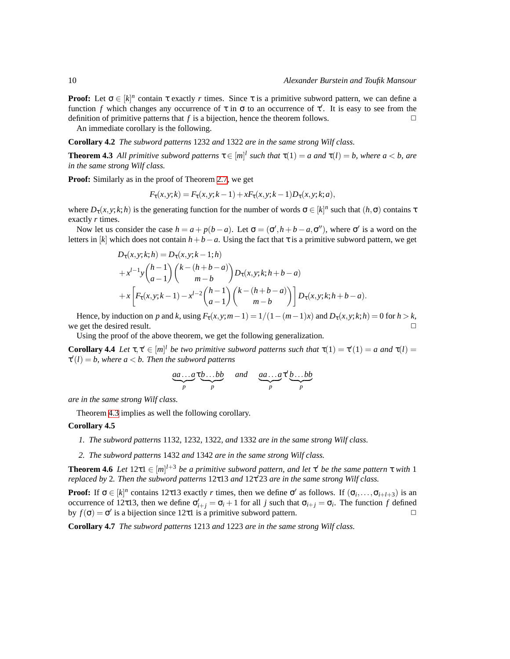**Proof:** Let  $\sigma \in [k]^n$  contain  $\tau$  exactly *r* times. Since  $\tau$  is a primitive subword pattern, we can define a function *f* which changes any occurrence of  $\tau$  in  $\sigma$  to an occurrence of  $\tau'$ . It is easy to see from the definition of primitive patterns that  $f$  is a bijection, hence the theorem follows.

An immediate corollary is the following.

**Corollary 4.2** *The subword patterns* 1232 *and* 1322 *are in the same strong Wilf class.*

<span id="page-9-0"></span>**Theorem 4.3** All primitive subword patterns  $\tau \in [m]^l$  such that  $\tau(1) = a$  and  $\tau(l) = b$ , where  $a < b$ , are *in the same strong Wilf class.*

**Proof:** Similarly as in the proof of Theorem [2.7](#page-5-1), we get

$$
F_{\tau}(x, y; k) = F_{\tau}(x, y; k-1) + xF_{\tau}(x, y; k-1)D_{\tau}(x, y; k; a),
$$

where  $D_{\tau}(x, y; k; h)$  is the generating function for the number of words  $\sigma \in [k]^n$  such that  $(h, \sigma)$  contains  $\tau$ exactly *r* times.

Now let us consider the case  $h = a + p(b - a)$ . Let  $\sigma = (\sigma', h + b - a, \sigma'')$ , where  $\sigma'$  is a word on the letters in [*k*] which does not contain  $h + b - a$ . Using the fact that  $\tau$  is a primitive subword pattern, we get

$$
D_{\tau}(x, y; k; h) = D_{\tau}(x, y; k - 1; h)
$$
  
+  $x^{l-1}y {h-1 \choose a-1} {k - (h+b-a) \choose m-b} D_{\tau}(x, y; k; h+b-a)$   
+  $x \left[ F_{\tau}(x, y; k-1) - x^{l-2} {h-1 \choose a-1} {k - (h+b-a) \choose m-b} \right] D_{\tau}(x, y; k; h+b-a).$ 

Hence, by induction on *p* and *k*, using  $F_\tau(x, y; m-1) = 1/(1-(m-1)x)$  and  $D_\tau(x, y; k; h) = 0$  for  $h > k$ , we get the desired result.  $\Box$ 

Using the proof of the above theorem, we get the following generalization.

**Corollary 4.4** *Let*  $\tau, \tau' \in [m]^l$  *be two primitive subword patterns such that*  $\tau(1) = \tau'(1) = a$  *and*  $\tau(l) =$  $\tau'(l) = b$ , where  $a < b$ . Then the subword patterns

$$
\underbrace{aa\ldots a}_{p}\tau\underbrace{b\ldots bb}_{p}\quad and\quad \underbrace{aa\ldots a}_{p}\tau'\underbrace{b\ldots bb}_{p}
$$

*are in the same strong Wilf class.*

Theorem [4.3](#page-9-0) implies as well the following corollary.

#### **Corollary 4.5**

- *1. The subword patterns* 1132*,* 1232*,* 1322*, and* 1332 *are in the same strong Wilf class.*
- *2. The subword patterns* 1432 *and* 1342 *are in the same strong Wilf class.*

**Theorem 4.6** *Let*  $12\tau 1 \in [m]^{l+3}$  *be a primitive subword pattern, and let*  $\tau'$  *be the same pattern*  $\tau$  *with* 1 *replaced by* 2*. Then the subword patterns* 12τ13 *and* 12τ <sup>0</sup>23 *are in the same strong Wilf class.*

**Proof:** If  $\sigma \in [k]^n$  contains 12τ13 exactly *r* times, then we define  $\sigma'$  as follows. If  $(\sigma_i, \ldots, \sigma_{i+l+3})$  is an occurrence of 12τ13, then we define  $σ'_{i+j} = σ_i + 1$  for all *j* such that  $σ_{i+j} = σ_i$ . The function *f* defined by  $f(\sigma) = \sigma'$  is a bijection since 12τ1 is a primitive subword pattern.

**Corollary 4.7** *The subword patterns* 1213 *and* 1223 *are in the same strong Wilf class.*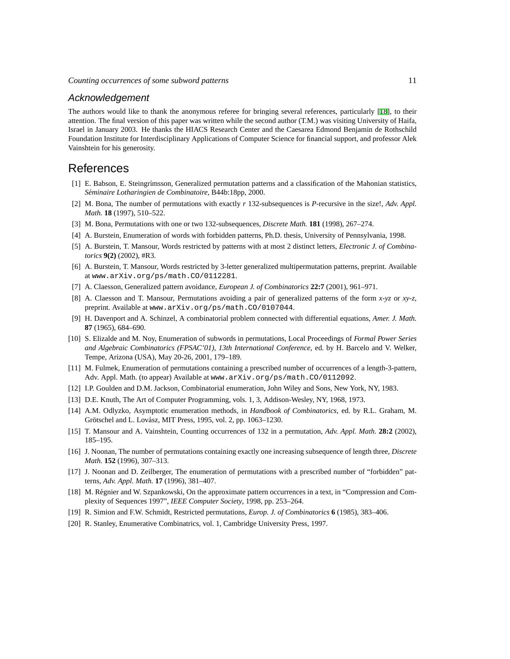#### Acknowledgement

The authors would like to thank the anonymous referee for bringing several references, particularly [\[18](#page-10-1)], to their attention. The final version of this paper was written while the second author (T.M.) was visiting University of Haifa, Israel in January 2003. He thanks the HIACS Research Center and the Caesarea Edmond Benjamin de Rothschild Foundation Institute for Interdisciplinary Applications of Computer Science for financial support, and professor Alek Vainshtein for his generosity.

### References

- <span id="page-10-9"></span>[1] E. Babson, E. Steingrímsson, Generalized permutation patterns and a classification of the Mahonian statistics, *Seminaire Lotharingien de Combinatoire ´* , B44b:18pp, 2000.
- <span id="page-10-7"></span>[2] M. Bona, The number of permutations with exactly *r* 132-subsequences is *P*-recursive in the size!, *Adv. Appl. Math.* **18** (1997), 510–522.
- <span id="page-10-6"></span>[3] M. Bona, Permutations with one or two 132-subsequences, *Discrete Math.* **181** (1998), 267–274.
- <span id="page-10-14"></span>[4] A. Burstein, Enumeration of words with forbidden patterns, Ph.D. thesis, University of Pennsylvania, 1998.
- <span id="page-10-15"></span>[5] A. Burstein, T. Mansour, Words restricted by patterns with at most 2 distinct letters, *Electronic J. of Combinatorics* **9(2)** (2002), #R3.
- <span id="page-10-16"></span>[6] A. Burstein, T. Mansour, Words restricted by 3-letter generalized multipermutation patterns, preprint. Available at www.arXiv.org/ps/math.CO/0112281.
- <span id="page-10-10"></span>[7] A. Claesson, Generalized pattern avoidance, *European J. of Combinatorics* **22:7** (2001), 961–971.
- <span id="page-10-12"></span>[8] A. Claesson and T. Mansour, Permutations avoiding a pair of generalized patterns of the form *x*-*yz* or *xy*-*z*, preprint. Available at www.arXiv.org/ps/math.CO/0107044.
- <span id="page-10-13"></span>[9] H. Davenport and A. Schinzel, A combinatorial problem connected with differential equations, *Amer. J. Math.* **87** (1965), 684–690.
- <span id="page-10-11"></span>[10] S. Elizalde and M. Noy, Enumeration of subwords in permutations, Local Proceedings of *Formal Power Series and Algebraic Combinatorics (FPSAC'01), 13th International Conference*, ed. by H. Barcelo and V. Welker, Tempe, Arizona (USA), May 20-26, 2001, 179–189.
- <span id="page-10-5"></span>[11] M. Fulmek, Enumeration of permutations containing a prescribed number of occurrences of a length-3-pattern, Adv. Appl. Math. (to appear) Available at www.arXiv.org/ps/math.CO/0112092.
- <span id="page-10-2"></span>[12] I.P. Goulden and D.M. Jackson, Combinatorial enumeration, John Wiley and Sons, New York, NY, 1983.
- [13] D.E. Knuth, The Art of Computer Programming, vols. 1, 3, Addison-Wesley, NY, 1968, 1973.
- [14] A.M. Odlyzko, Asymptotic enumeration methods, in *Handbook of Combinatorics*, ed. by R.L. Graham, M. Grötschel and L. Lovász, MIT Press, 1995, vol. 2, pp. 1063-1230.
- <span id="page-10-8"></span>[15] T. Mansour and A. Vainshtein, Counting occurrences of 132 in a permutation, *Adv. Appl. Math.* **28:2** (2002), 185–195.
- <span id="page-10-3"></span>[16] J. Noonan, The number of permutations containing exactly one increasing subsequence of length three, *Discrete Math.* **152** (1996), 307–313.
- <span id="page-10-4"></span>[17] J. Noonan and D. Zeilberger, The enumeration of permutations with a prescribed number of "forbidden" patterns, *Adv. Appl. Math.* **17** (1996), 381–407.
- <span id="page-10-1"></span>[18] M. Régnier and W. Szpankowski, On the approximate pattern occurrences in a text, in "Compression and Complexity of Sequences 1997", *IEEE Computer Society*, 1998, pp. 253–264.
- [19] R. Simion and F.W. Schmidt, Restricted permutations, *Europ. J. of Combinatorics* **6** (1985), 383–406.
- <span id="page-10-0"></span>[20] R. Stanley, Enumerative Combinatrics, vol. 1, Cambridge University Press, 1997.